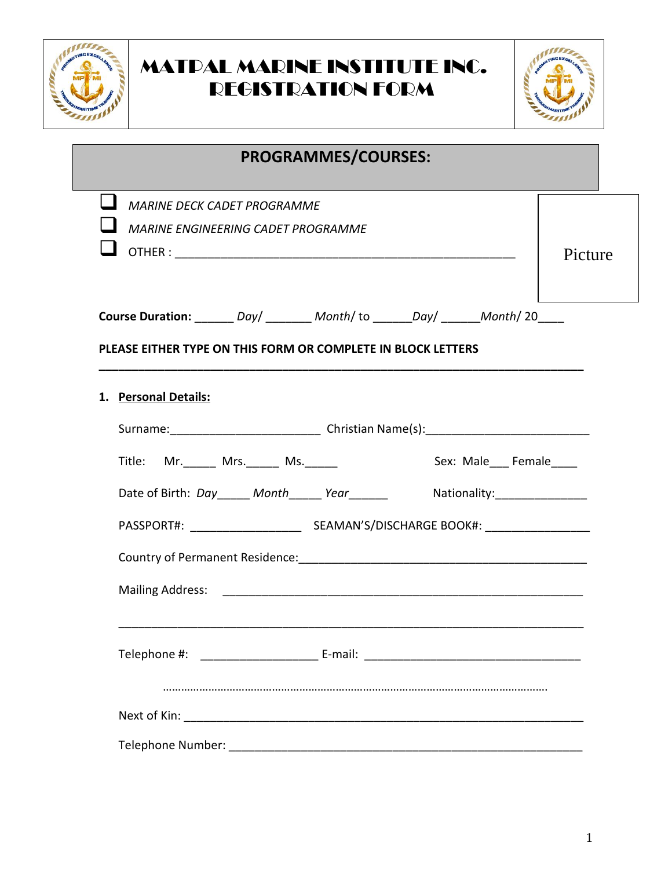



| <b>PROGRAMMES/COURSES:</b>                                                                                                                                               |         |
|--------------------------------------------------------------------------------------------------------------------------------------------------------------------------|---------|
| <b>MARINE DECK CADET PROGRAMME</b><br><b>MARINE ENGINEERING CADET PROGRAMME</b>                                                                                          | Picture |
| Course Duration: _______ Day/ ________ Month/ to _______Day/ ______Month/ 20____<br>PLEASE EITHER TYPE ON THIS FORM OR COMPLETE IN BLOCK LETTERS<br>1. Personal Details: |         |
| Sex: Male___ Female____<br>Title: Mr. _____ Mrs. _____ Ms. _____<br>Date of Birth: Day _____ Month _____ Year _______ Mationality: _________________                     |         |
|                                                                                                                                                                          |         |
|                                                                                                                                                                          |         |
|                                                                                                                                                                          |         |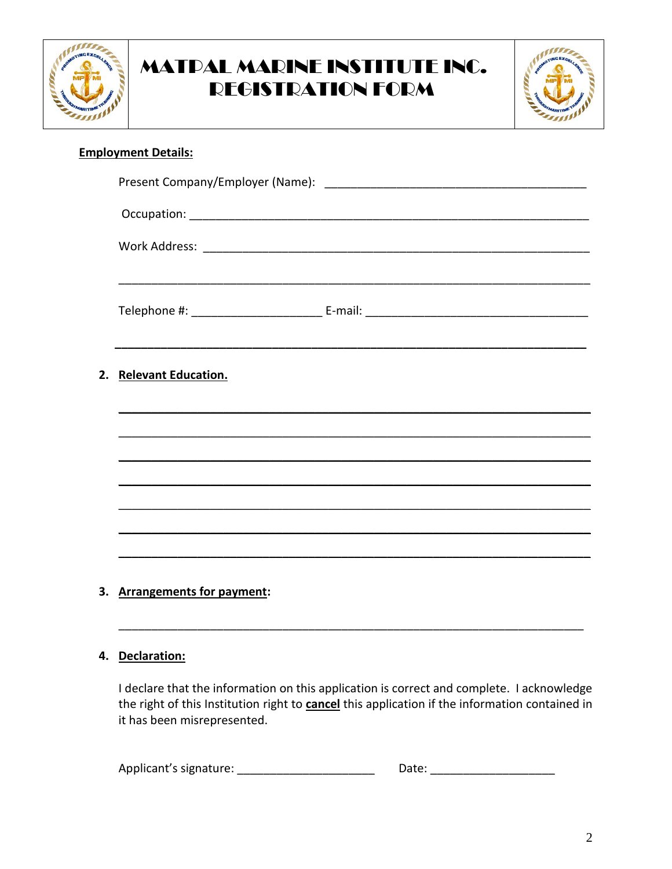



#### **Employment Details:**

| 2. Relevant Education.       |  |
|------------------------------|--|
|                              |  |
|                              |  |
|                              |  |
|                              |  |
|                              |  |
|                              |  |
| 3. Arrangements for payment: |  |

#### 4. Declaration:

I declare that the information on this application is correct and complete. I acknowledge the right of this Institution right to **cancel** this application if the information contained in it has been misrepresented.

| Applicant's signature: | Date: |
|------------------------|-------|
|------------------------|-------|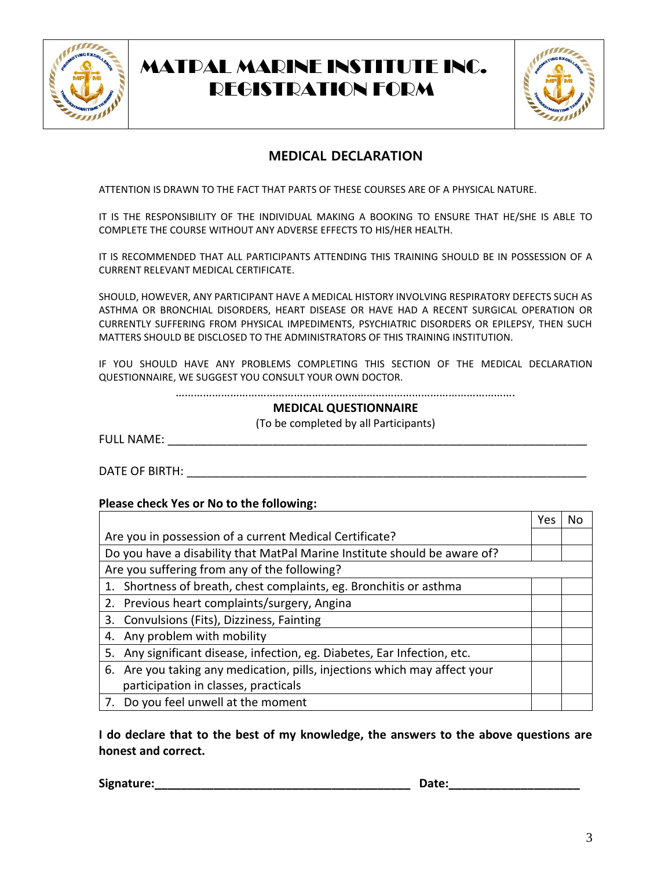



#### **MEDICAL DECLARATION**

ATTENTION IS DRAWN TO THE FACT THAT PARTS OF THESE COURSES ARE OF A PHYSICAL NATURE.

IT IS THE RESPONSIBILITY OF THE INDIVIDUAL MAKING A BOOKING TO ENSURE THAT HE/SHE IS ABLE TO COMPLETE THE COURSE WITHOUT ANY ADVERSE EFFECTS TO HIS/HER HEALTH.

IT IS RECOMMENDED THAT ALL PARTICIPANTS ATTENDING THIS TRAINING SHOULD BE IN POSSESSION OF A CURRENT RELEVANT MEDICAL CERTIFICATE.

SHOULD, HOWEVER, ANY PARTICIPANT HAVE A MEDICAL HISTORY INVOLVING RESPIRATORY DEFECTS SUCH AS ASTHMA OR BRONCHIAL DISORDERS, HEART DISEASE OR HAVE HAD A RECENT SURGICAL OPERATION OR CURRENTLY SUFFERING FROM PHYSICAL IMPEDIMENTS, PSYCHIATRIC DISORDERS OR EPILEPSY, THEN SUCH MATTERS SHOULD BE DISCLOSED TO THE ADMINISTRATORS OF THIS TRAINING INSTITUTION.

IF YOU SHOULD HAVE ANY PROBLEMS COMPLETING THIS SECTION OF THE MEDICAL DECLARATION QUESTIONNAIRE, WE SUGGEST YOU CONSULT YOUR OWN DOCTOR.

………………………………………………………………………………………………….

#### **MEDICAL QUESTIONNAIRE**

(To be completed by all Participants)

FULL NAME: \_\_\_\_\_\_\_\_\_\_\_\_\_\_\_\_\_\_\_\_\_\_\_\_\_\_\_\_\_\_\_\_\_\_\_\_\_\_\_\_\_\_\_\_\_\_\_\_\_\_\_\_\_\_\_\_\_\_\_\_\_\_\_\_

DATE OF BIRTH:  $\blacksquare$ 

#### **Please check Yes or No to the following:**

|                                                                             | Yes | N٥ |  |
|-----------------------------------------------------------------------------|-----|----|--|
| Are you in possession of a current Medical Certificate?                     |     |    |  |
| Do you have a disability that MatPal Marine Institute should be aware of?   |     |    |  |
| Are you suffering from any of the following?                                |     |    |  |
| 1. Shortness of breath, chest complaints, eg. Bronchitis or asthma          |     |    |  |
| 2. Previous heart complaints/surgery, Angina                                |     |    |  |
| 3. Convulsions (Fits), Dizziness, Fainting                                  |     |    |  |
| 4. Any problem with mobility                                                |     |    |  |
| Any significant disease, infection, eg. Diabetes, Ear Infection, etc.<br>5. |     |    |  |
| 6. Are you taking any medication, pills, injections which may affect your   |     |    |  |
| participation in classes, practicals                                        |     |    |  |
| 7. Do you feel unwell at the moment                                         |     |    |  |

**I do declare that to the best of my knowledge, the answers to the above questions are honest and correct.**

**Signature:\_\_\_\_\_\_\_\_\_\_\_\_\_\_\_\_\_\_\_\_\_\_\_\_\_\_\_\_\_\_\_\_\_\_\_\_\_\_\_ Date:\_\_\_\_\_\_\_\_\_\_\_\_\_\_\_\_\_\_\_\_**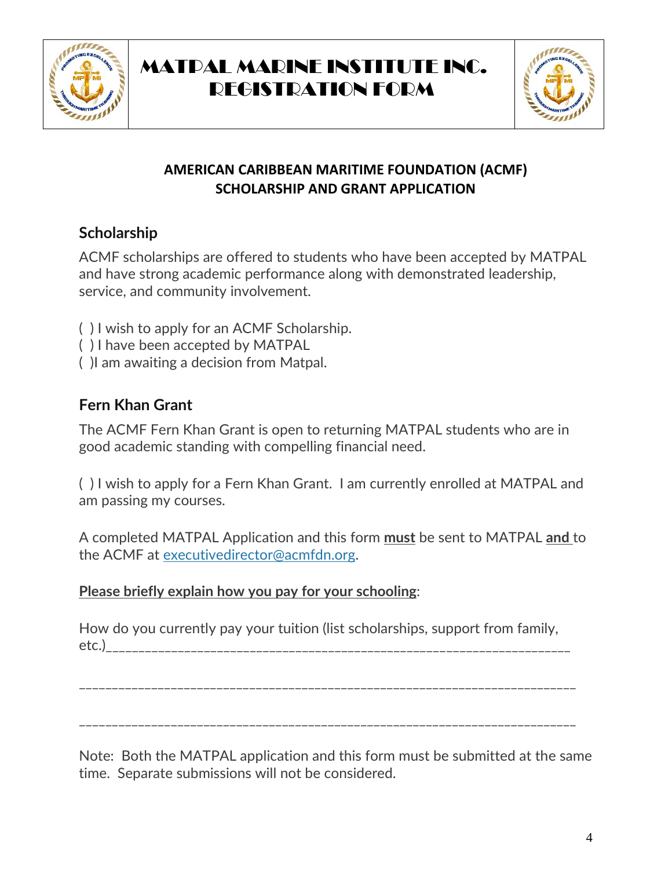



### **AMERICAN CARIBBEAN MARITIME FOUNDATION (ACMF) SCHOLARSHIP AND GRANT APPLICATION**

## **Scholarship**

ACMF scholarships are offered to students who have been accepted by MATPAL and have strong academic performance along with demonstrated leadership, service, and community involvement.

- ( ) I wish to apply for an ACMF Scholarship.
- ( ) I have been accepted by MATPAL
- ( )I am awaiting a decision from Matpal.

## **Fern Khan Grant**

The ACMF Fern Khan Grant is open to returning MATPAL students who are in good academic standing with compelling financial need.

( ) I wish to apply for a Fern Khan Grant. I am currently enrolled at MATPAL and am passing my courses.

A completed MATPAL Application and this form **must** be sent to MATPAL **and** to the ACMF at [executivedirector@acmfdn.org.](mailto:executivedirector@acmfdn.org)

## **Please briefly explain how you pay for your schooling**:

How do you currently pay your tuition (list scholarships, support from family, etc.)\_\_\_\_\_\_\_\_\_\_\_\_\_\_\_\_\_\_\_\_\_\_\_\_\_\_\_\_\_\_\_\_\_\_\_\_\_\_\_\_\_\_\_\_\_\_\_\_\_\_\_\_\_\_\_\_\_\_\_\_\_\_\_\_\_\_\_\_\_\_\_

\_\_\_\_\_\_\_\_\_\_\_\_\_\_\_\_\_\_\_\_\_\_\_\_\_\_\_\_\_\_\_\_\_\_\_\_\_\_\_\_\_\_\_\_\_\_\_\_\_\_\_\_\_\_\_\_\_\_\_\_\_\_\_\_\_\_\_\_\_\_\_\_\_\_\_\_

\_\_\_\_\_\_\_\_\_\_\_\_\_\_\_\_\_\_\_\_\_\_\_\_\_\_\_\_\_\_\_\_\_\_\_\_\_\_\_\_\_\_\_\_\_\_\_\_\_\_\_\_\_\_\_\_\_\_\_\_\_\_\_\_\_\_\_\_\_\_\_\_\_\_\_\_

Note: Both the MATPAL application and this form must be submitted at the same time. Separate submissions will not be considered.